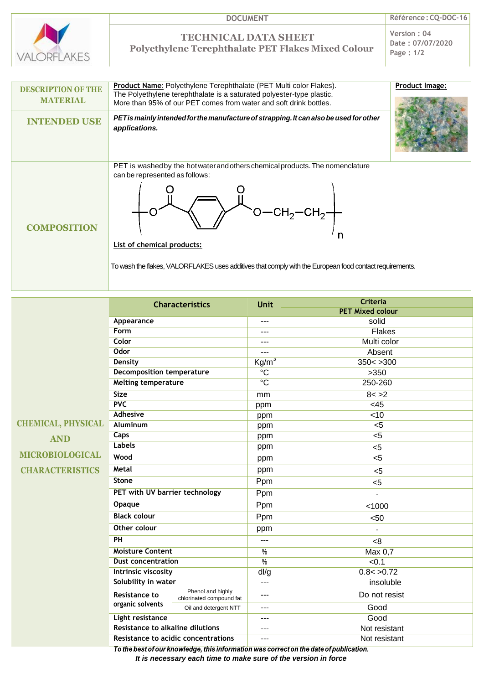

## **TECHNICAL DATA SHEET Polyethylene Terephthalate PET Flakes Mixed Colour**

**Version : 04 Date : 07/07/2020 Page : 1/2**

| <b>DESCRIPTION OF THE</b><br><b>MATERIAL</b> | <b>Product Name:</b> Polyethylene Terephthalate (PET Multi color Flakes).<br>The Polyethylene terephthalate is a saturated polyester-type plastic.<br>More than 95% of our PET comes from water and soft drink bottles.                                                                                                  | Product Image: |
|----------------------------------------------|--------------------------------------------------------------------------------------------------------------------------------------------------------------------------------------------------------------------------------------------------------------------------------------------------------------------------|----------------|
| <b>INTENDED USE</b>                          | PET is mainly intended for the manufacture of strapping. It can also be used for other<br>applications.                                                                                                                                                                                                                  |                |
| <b>COMPOSITION</b>                           | PET is washed by the hot water and others chemical products. The nomenclature<br>can be represented as follows:<br>$-$ CH <sub>2</sub> $-$ CH <sub>2</sub> $\rightarrow$<br><b>List of chemical products:</b><br>To wash the flakes, VALORFLAKES uses additives that comply with the European food contact requirements. |                |

|                           | <b>Characteristics</b>                  |                                               | <b>Unit</b>     | <b>Criteria</b>                                                                        |
|---------------------------|-----------------------------------------|-----------------------------------------------|-----------------|----------------------------------------------------------------------------------------|
|                           |                                         |                                               |                 | <b>PET Mixed colour</b>                                                                |
|                           | Appearance                              |                                               | ---             | solid                                                                                  |
|                           | Form                                    |                                               | ---             | <b>Flakes</b>                                                                          |
|                           | Color                                   |                                               | ---             | Multi color                                                                            |
|                           | <b>Odor</b>                             |                                               | ---             | Absent                                                                                 |
|                           | <b>Density</b>                          |                                               | $\text{Kg/m}^3$ | 350 < 300                                                                              |
|                           | <b>Decomposition temperature</b>        |                                               | $\overline{C}$  | >350                                                                                   |
|                           | <b>Melting temperature</b>              |                                               | $\overline{C}$  | 250-260                                                                                |
|                           | <b>Size</b>                             |                                               | mm              | 8 < > 2                                                                                |
|                           | PVC                                     |                                               | ppm             | <45                                                                                    |
|                           | <b>Adhesive</b>                         |                                               | ppm             | <10                                                                                    |
| <b>CHEMICAL, PHYSICAL</b> | <b>Aluminum</b>                         |                                               | ppm             | $5$                                                                                    |
| <b>AND</b>                | Caps                                    |                                               | ppm             | $<$ 5                                                                                  |
|                           | <b>Labels</b>                           |                                               | ppm             | $5$                                                                                    |
| <b>MICROBIOLOGICAL</b>    | Wood                                    |                                               | ppm             | < 5                                                                                    |
| <b>CHARACTERISTICS</b>    | Metal                                   |                                               | ppm             | $<$ 5                                                                                  |
|                           | <b>Stone</b>                            |                                               | Ppm             | $5$                                                                                    |
|                           | PET with UV barrier technology          |                                               | Ppm             |                                                                                        |
|                           | Opaque                                  |                                               | Ppm             | < 1000                                                                                 |
|                           | <b>Black colour</b>                     |                                               | Ppm             | < 50                                                                                   |
|                           | Other colour                            |                                               | ppm             |                                                                                        |
|                           | PH                                      |                                               | $---$           | <8                                                                                     |
|                           | <b>Moisture Content</b>                 |                                               | $\%$            | Max 0,7                                                                                |
|                           | <b>Dust concentration</b>               |                                               | $\frac{0}{2}$   | < 0.1                                                                                  |
|                           | Intrinsic viscosity                     |                                               | dl/g            | 0.8 < 0.72                                                                             |
|                           | Solubility in water                     |                                               | ---             | insoluble                                                                              |
|                           | Resistance to<br>organic solvents       | Phenol and highly<br>chlorinated compound fat | ---             | Do not resist                                                                          |
|                           |                                         | Oil and detergent NTT                         | ---             | Good                                                                                   |
|                           | <b>Light resistance</b>                 |                                               | $---$           | Good                                                                                   |
|                           | <b>Resistance to alkaline dilutions</b> |                                               | ---             | Not resistant                                                                          |
|                           |                                         | Resistance to acidic concentrations           | ---             | Not resistant                                                                          |
|                           |                                         |                                               |                 | To the best of our knowledge, this information was correct on the date of publication. |

*It is necessary each time to make sure of the version in force*